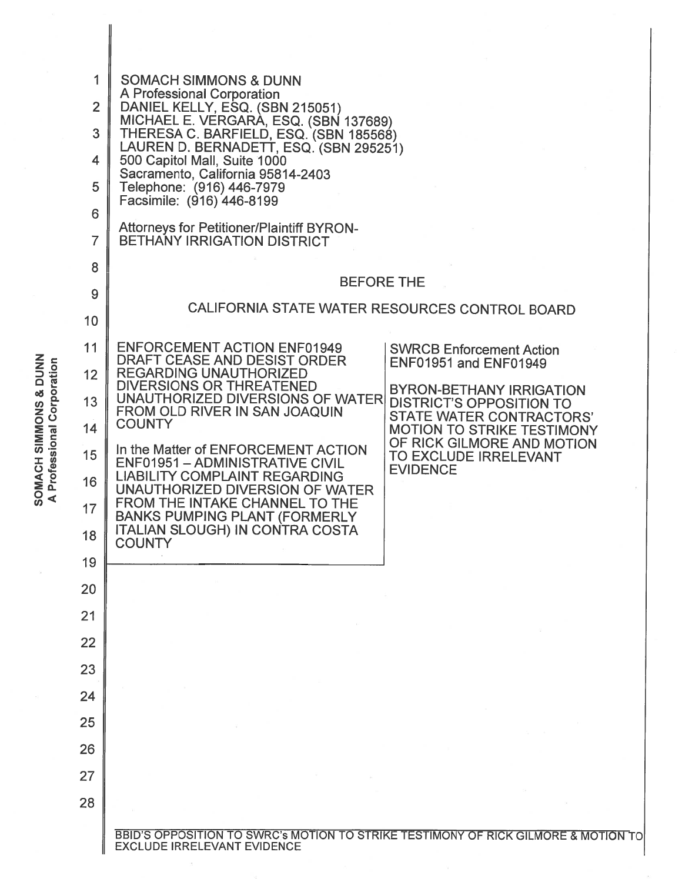$\sum_{\substack{1 \leq l \leq 1 \leq r}}^{\text{max}}$  12 **9 DANS 13<br>Encirc 14<br>Construct 15<br>Construct 15**  $\leqslant$   $2$  16

|                                                                     | 1              | <b>SOMACH SIMMONS &amp; DUNN</b>                                                                                                                                           |  |  |  |
|---------------------------------------------------------------------|----------------|----------------------------------------------------------------------------------------------------------------------------------------------------------------------------|--|--|--|
|                                                                     | $\overline{2}$ | A Professional Corporation<br>DANIEL KELLY, ESQ. (SBN 215051)                                                                                                              |  |  |  |
|                                                                     | 3              | MICHAEL E. VERGARÀ, ESQ. (SBN 137689)<br>THERESA C. BARFIELD, ESQ. (SBN 185568)                                                                                            |  |  |  |
|                                                                     | 4              | LAUREN D. BERNADETT, ESQ. (SBN 295251)<br>500 Capitol Mall, Suite 1000                                                                                                     |  |  |  |
|                                                                     | 5              | Sacramento, California 95814-2403<br>Telephone: (916) 446-7979                                                                                                             |  |  |  |
|                                                                     | 6              | Facsimile: (916) 446-8199                                                                                                                                                  |  |  |  |
|                                                                     | 7              | <b>Attorneys for Petitioner/Plaintiff BYRON-</b><br><b>BETHANY IRRIGATION DISTRICT</b>                                                                                     |  |  |  |
|                                                                     | 8              |                                                                                                                                                                            |  |  |  |
|                                                                     | 9              | <b>BEFORE THE</b>                                                                                                                                                          |  |  |  |
|                                                                     | 10             | CALIFORNIA STATE WATER RESOURCES CONTROL BOARD                                                                                                                             |  |  |  |
|                                                                     | 11             | <b>ENFORCEMENT ACTION ENF01949</b><br><b>SWRCB Enforcement Action</b>                                                                                                      |  |  |  |
|                                                                     | 12             | DRAFT CEASE AND DESIST ORDER<br><b>ENF01951 and ENF01949</b><br><b>REGARDING UNAUTHORIZED</b>                                                                              |  |  |  |
|                                                                     | 13             | <b>DIVERSIONS OR THREATENED</b><br><b>BYRON-BETHANY IRRIGATION</b><br>UNAUTHORIZED DIVERSIONS OF WATER<br><b>DISTRICT'S OPPOSITION TO</b><br>FROM OLD RIVER IN SAN JOAQUIN |  |  |  |
|                                                                     | 14             | <b>STATE WATER CONTRACTORS'</b><br><b>COUNTY</b><br><b>MOTION TO STRIKE TESTIMONY</b>                                                                                      |  |  |  |
| <b>SOMACH SIMMONS &amp; DUNN</b><br><b>Professional Corporation</b> | 15             | OF RICK GILMORE AND MOTION<br>In the Matter of ENFORCEMENT ACTION<br>TO EXCLUDE IRRELEVANT<br>ENF01951 - ADMINISTRATIVE CIVIL                                              |  |  |  |
|                                                                     | 16             | <b>EVIDENCE</b><br><b>LIABILITY COMPLAINT REGARDING</b><br>UNAUTHORIZED DIVERSION OF WATER                                                                                 |  |  |  |
| $\blacktriangleleft$                                                | 17             | <b>FROM THE INTAKE CHANNEL TO THE</b><br><b>BANKS PUMPING PLANT (FORMERLY</b>                                                                                              |  |  |  |
|                                                                     | 18             | ITALIAN SLOUGH) IN CONTRA COSTA<br><b>COUNTY</b>                                                                                                                           |  |  |  |
|                                                                     | 19             |                                                                                                                                                                            |  |  |  |
|                                                                     | 20             |                                                                                                                                                                            |  |  |  |
|                                                                     | 21             |                                                                                                                                                                            |  |  |  |
|                                                                     | 22             |                                                                                                                                                                            |  |  |  |
|                                                                     | 23             |                                                                                                                                                                            |  |  |  |
|                                                                     | 24             |                                                                                                                                                                            |  |  |  |
|                                                                     | 25             |                                                                                                                                                                            |  |  |  |
|                                                                     | 26             |                                                                                                                                                                            |  |  |  |
|                                                                     | 27             |                                                                                                                                                                            |  |  |  |
|                                                                     | 28             |                                                                                                                                                                            |  |  |  |
|                                                                     |                | BBID'S OPPOSITION TO SWRC's MOTION TO STRIKE TESTIMONY OF RICK GILMORE & MOTION TO<br><b>EXCLUDE IRRELEVANT EVIDENCE</b>                                                   |  |  |  |

 $\bar{\mathbf{z}}$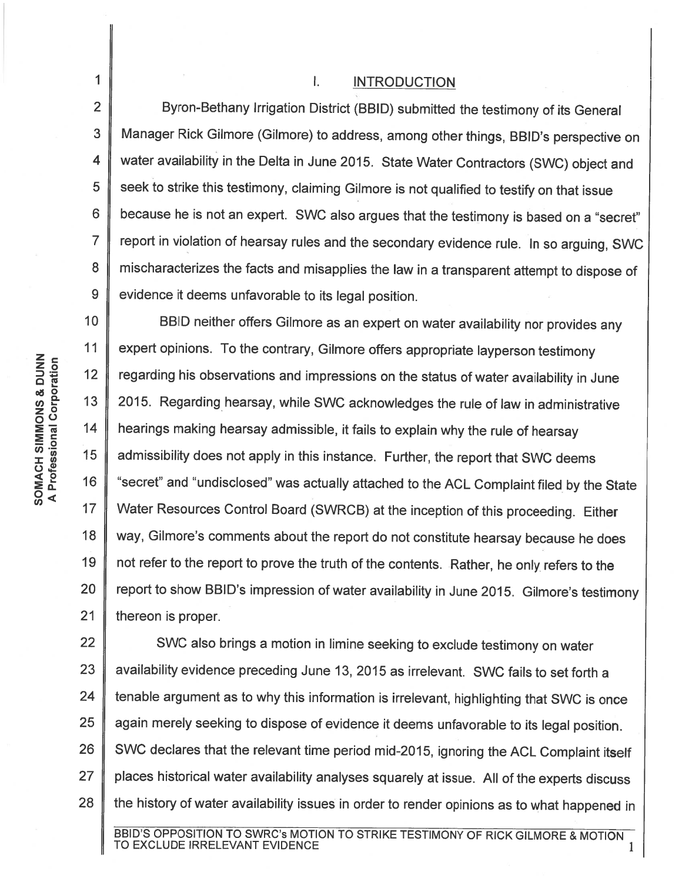I. INTRODUCTION

2 3 Byron-Bethany Irrigation District (BBID) submitted the testimony of its General Manager Rick Gilmore (Gilmore) to address, among other things, BBID's perspective on water availability in the Delta in June 2015. State Water Contractors (SWC) object and seek to strike this testimony, claiming Gilmore is not qualified to testify on that issue because he is not an expert. SWC also argues that the testimony is based on a "secret" report in violation of hearsay rules and the secondary evidence rule. In so arguing, SWC mischaracterizes the facts and misapplies the law in a transparent attempt to dispose of evidence it deems unfavorable to its legal position.

10 11 12 13 14 15 16 17 18 19 20 21 BBID neither offers Gilmore as an expert on water availability nor provides any expert opinions. To the contrary, Gilmore offers appropriate layperson testimony regarding his observations and impressions on the status of water availability in June 2015. Regarding hearsay, while SWC acknowledges the rule of law in administrative hearings making hearsay admissible, it fails to explain why the rule of hearsay admissibility does not apply in this instance. Further, the report that SWC deems "secret" and "undisclosed" was actually attached to the ACL Complaint filed by the State Water Resources Control Board (SWRCB) at the inception of this proceeding. Either way, Gilmore's comments about the report do not constitute hearsay because he does not refer to the report to prove the truth of the contents. Rather, he only. refers to the report to show BBID's impression of water availability in June 2015. Gilmore's testimony thereon is proper.

22 23 24 25 26 27 28 SWC also brings a motion in limine seeking to exclude testimony on water availability evidence preceding June 13, 2015 as irrelevant. SWC fails to set forth a tenable argument as to why this information is irrelevant, highlighting that SWC is once again merely seeking to dispose of evidence it deems unfavorable to its legal position. SWC declares that the relevant time period mid-2015, ignoring the ACL Complaint itself places historical water availability analyses squarely at issue. All of the experts discuss the history of water availability issues in order to render opinions as to what happened in

1

4

5

6

7

8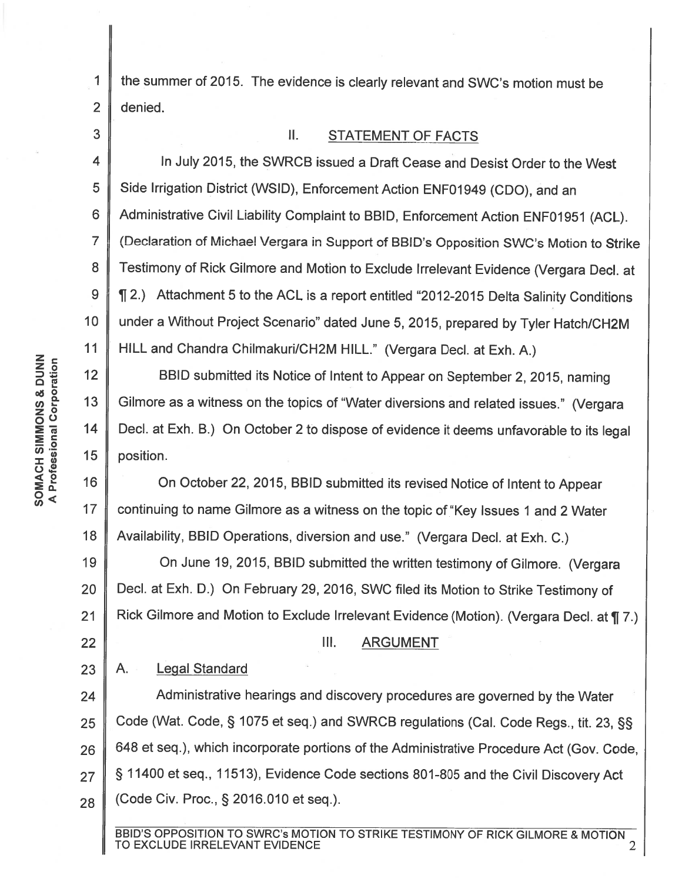the summer of 2015. The evidence is clearly relevant and SWC's motion must be denied.

II. STATEMENT Of FACTS

4 5 6 7 8 9 10 11 In July 2015, the SWRCB issued a Draft Cease and Desist Order to the West Side Irrigation District (WSID), Enforcement Action ENF01949 (CDO), and an Administrative Civil Liability Complaint to BBID, Enforcement Action ENF01951 (ACL). (Declaration of Michael Vergara in Support of BBID's Opposition SWC's Motion to Strike Testimony of Rick Gilmore and Motion to Exclude Irrelevant Evidence (Vergara Decl. at <sup>~</sup>2.) Attachment 5 to the ACL is a report entitled "2012-2015 Delta Salinity Conditions under a Without Project Scenario" dated June 5, 2015, prepared by Tyler Hatch/CH2M HILL and Chandra Chilmakuri/CH2M HILL." (Vergara Decl. at Exh. A.)

 $12$ 13 BBID submitted its Notice of Intent to Appear on September 2, 2015, naming Gilmore as a witness on the topics of "Water diversions and related issues." (Vergara Decl. at Exh. B.) On October 2 to dispose of evidence it deems unfavorable to its legal position.

 $17$ 18 On October 22, 2015, BBID submitted its revised Notice of Intent to Appear continuing to name Gilmore as a witness on the topic of "Key Issues 1 and 2 Water Availability, BBID Operations, diversion and use." (Vergara Decl. at Exh. C.)

19 20 21 On June 19, 2015, BBID submitted the written testimony of Gilmore. (Vergara Decl. at Exh. D.) On February 29, 2016, SWC filed its Motion to Strike Testimony of Rick Gilmore and Motion to Exclude Irrelevant Evidence (Motion). (Vergara Decl. at ¶ 7.)

- III. **ARGUMENT**
- 23 A. Legal Standard

22

24 25 26 27 28 Administrative hearings and discovery procedures are governed by the Water Code (Wat. Code,§ 1075 et seq.) and SWRCB regulations (Cal. Code Regs., tit. 23, §§ 648 et seq.), which incorporate portions of the Administrative Procedure Act (Gov. Code, § 11400 et seq., 11513), Evidence Code sections 801-805 and the Civil Discovery Act (Code Civ. Proc., § 2016.010 et seq.).

BBID'S OPPOSITION TO SWRC's MOTION TO STRIKE TESTIMONY OF RICK GILMORE & MOTION<br>TO EXCLUDE IRRELEVANT EVIDENCE

1

2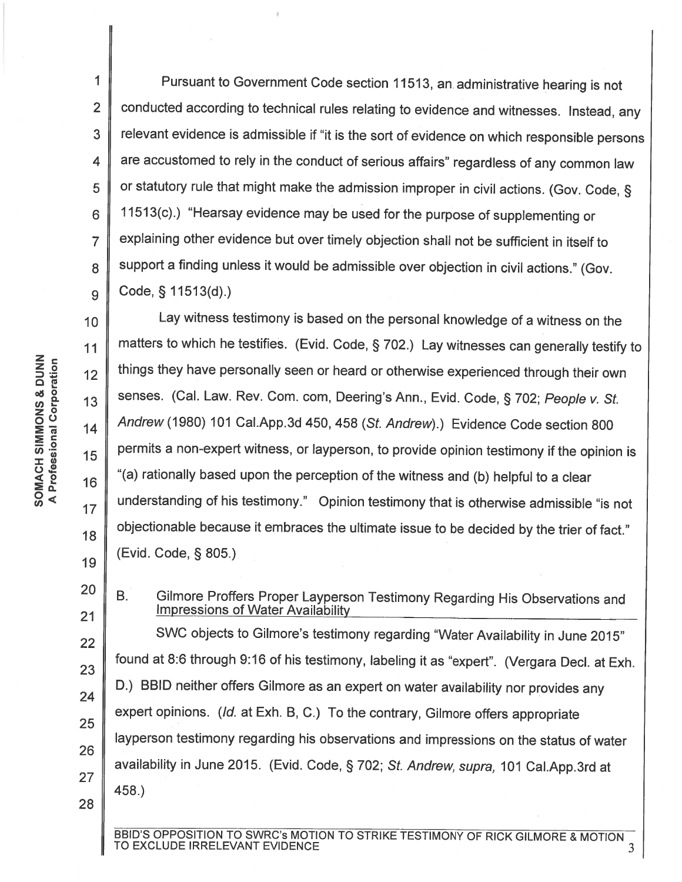1 2 3 4 5 6 7 8 9 Pursuant to Government Code section 11513, an. administrative hearing is not conducted according to technical rules relating to evidence and witnesses. Instead, any relevant evidence is admissible if "it is the sort of evidence on which responsible persons are accustomed to rely in the conduct of serious affairs" regardless of any common law or statutory rule that might make the admission improper in civil actions. (Gov. Code,§ 11513(c).) "Hearsay evidence may be used for the purpose of supplementing or explaining other evidence but over timely objection shall not be sufficient in itself to support a finding unless it would be admissible over objection in civil actions." (Gov. Code,§ 11513(d).)

10 11  $12$ *enE-* 13 0<( *en* <sup>17</sup> 18 19 Lay witness testimony is based on the personal knowledge of a witness on the matters to which he testifies. (Evid. Code,§ 702.) Lay witnesses can generally testify to things they have personally seen or heard or otherwise experienced through their own senses. (Cal. Law. Rev. Com. com, Deering's Ann., Evid. Code, § 702; People v. St. Andrew (1980) 101 Cai.App.3d 450, 458 (St. Andrew).) Evidence Code section 800 permits a non-expert witness, or layperson, to provide opinion testimony if the opinion is "(a) rationally based upon the perception of the witness and (b) helpful to a clear understanding of his testimony." Opinion testimony that is otherwise admissible "is not objectionable because it embraces the ultimate issue to be decided by the trier of fact." (Evid. Code, § 805.)

21 22 23 24 25 26 27 28 B. Gilmore Proffers Proper Layperson Testimony Regarding His Observations and Impressions of Water Availability SWC objects to Gilmore's testimony regarding "Water Availability in June 2015" found at 8:6 through 9:16 of his testimony, labeling it as "expert". (Vergara Decl. at Exh. D.) BBID neither offers Gilmore as an expert on water availability nor provides any expert opinions. (Id. at Exh. B, C.) To the contrary, Gilmore offers appropriate layperson testimony regarding his observations and impressions on the status of water availability in June 2015. (Evid. Code, § 702; St. Andrew, supra, 101 Cai.App.3rd at 458.)

BBID'S OPPOSITION TO SWRC's MOTION TO STRIKE TESTIMONY OF RICK GILMORE & MOTION 3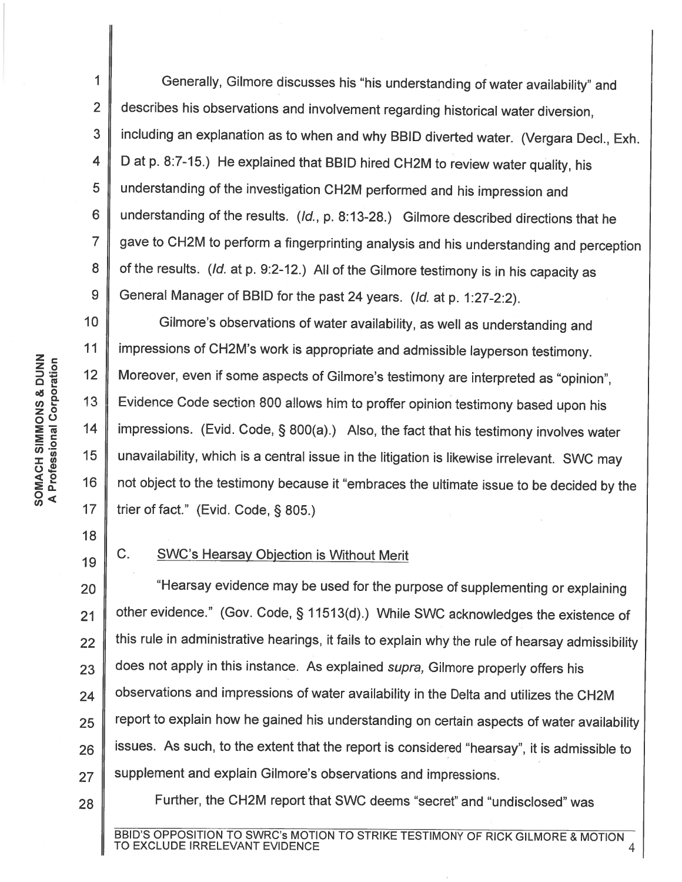1 2 3 4 5 6 7 8 9 Generally, Gilmore discusses his "his understanding of water availability" and describes his observations and involvement regarding historical water diversion, including an explanation as to when and why BBID diverted water. (Vergara Decl., Exh. D at p. 8:7-15.) He explained that BBID hired CH2M to review water quality, his understanding of the investigation CH2M performed and his impression and understanding of the results. (/d., p. 8:13-28.) Gilmore described directions that he gave to CH2M to perform a fingerprinting analysis and his understanding and perception of the results. (/d. at p. 9:2-12.) All of the Gilmore testimony is in his capacity as General Manager of BBID for the past 24 years. (Id. at p. 1:27-2:2).

10 11  $12$  $17$ Gilmore's observations of water availability, as well as understanding and impressions of CH2M's work is appropriate and admissible layperson testimony. Moreover, even if some aspects of Gilmore's testimony are interpreted as "opinion", Evidence Code section 800 allows him to proffer opinion testimony based upon his impressions. (Evid. Code, § 800(a).) Also, the fact that his testimony involves water unavailability, which is a central issue in the litigation is likewise irrelevant. SWC may not object to the testimony because it "embraces the ultimate issue to be decided by the trier of fact." (Evid. Code, § 805.)

18 19

### C. SWC's Hearsay Objection is Without Merit

20 21 22 23 24 25 26 27 "Hearsay evidence may be used for the purpose of supplementing or explaining other evidence." (Gov. Code,§ 11513(d).) While SWC acknowledges the existence of this rule in administrative hearings, it fails to explain why the rule of hearsay admissibility does not apply in this instance. As explained supra, Gilmore properly offers his observations and impressions of water availability in the Delta and utilizes the CH2M report to explain how he gained his understanding on certain aspects of water availability issues. As such, to the extent that the report is considered "hearsay", it is admissible to supplement and explain Gilmore's observations and impressions.

28

Further, the CH2M report that SWC deems "secret" and "undisclosed" was

z c z 0 <u>ღ</u> ⊡ <sup>~</sup><sup>0</sup>U)e- <sup>13</sup><sup>z</sup><sup>0</sup> oo :En; 14 :::!: <sup>c</sup> 0 (/) ·- <sup>15</sup>(/) :I: (/) 0~ <( <sup>0</sup>16 :ea: SOMACH SIMMONS & DUNN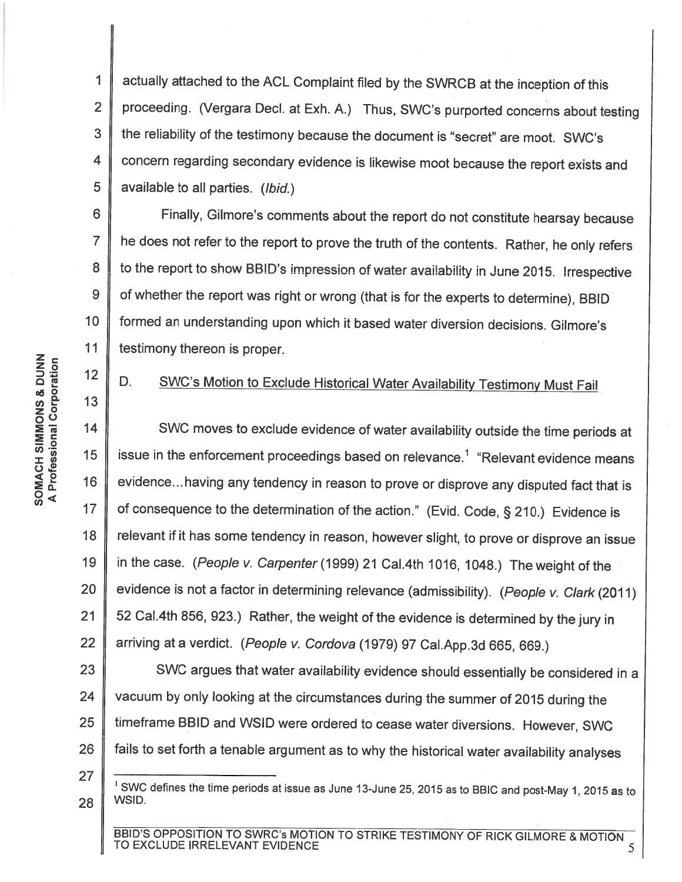1 2 3 4 5 actually attached to the ACL Complaint filed by the SWRCB at the inception of this proceeding. (Vergara Decl. at Exh. A.) Thus, SWC's purported concerns about testing the reliability of the testimony because the document is "secret" are moot. SWC's concern regarding secondary evidence is likewise moot because the report exists and available to all parties. (Ibid.)

6 7 8 9 10 11 Finally, Gilmore's comments about the report do not constitute hearsay because he does not refer to the report to prove the truth of the contents. Rather, he only refers to the report to show BBID's impression of water availability in June 2015. Irrespective of whether the report was right or wrong (that is for the experts to determine), BBID formed an understanding upon which it based water diversion decisions. Gilmore's testimony thereon is proper.

## D. SWC's Motion to Exclude Historical Water Availability Testimony Must Fail

18 19 20 21 22 SWC moves to exclude evidence of water availability outside the time periods at issue in the enforcement proceedings based on relevance.<sup>1</sup> "Relevant evidence means evidence... having any tendency in reason to prove or disprove any disputed fact that is of consequence to the determination of the action." (Evid. Code, § 210.) Evidence is relevant if it has some tendency in reason, however slight, to prove or disprove an issue in the case. (People v. Carpenter (1999) 21 Cal.4th 1016, 1048.) The weight of the evidence is not a factor in determining relevance (admissibility). (People v. Clark (2011) 52 Cal.4th 856, 923.) Rather, the weight of the evidence is determined by the jury in arriving at a verdict. (People v. Cordova (1979) 97 Cai.App.3d 665, 669.)

23 24 25 26 SWC argues that water availability evidence should essentially be considered in <sup>a</sup> vacuum by only looking at the circumstances during the summer of 2015 during the timeframe BBID and WSID were ordered to cease water diversions. However, SWC fails to set forth a tenable argument as to why the historical water availability analyses

 $\Xi$   $\tilde{\Xi}$ n ⊡ oð Q z *0*  oo  $\sum_{\mathbf{E}} \overline{\mathbf{e}}$  14 SOMACH SIMMONS & DUNN  $\frac{2}{4}$   $\frac{6}{9}$  15 **E**<br> **S**<br>
S<br>
S<br>
O<br>
17

 $12$ 

*enE-* 13

<sup>27</sup>  28  $^1$  SWC defines the time periods at issue as June 13-June 25, 2015 as to BBIC and post-May 1, 2015 as to WSID.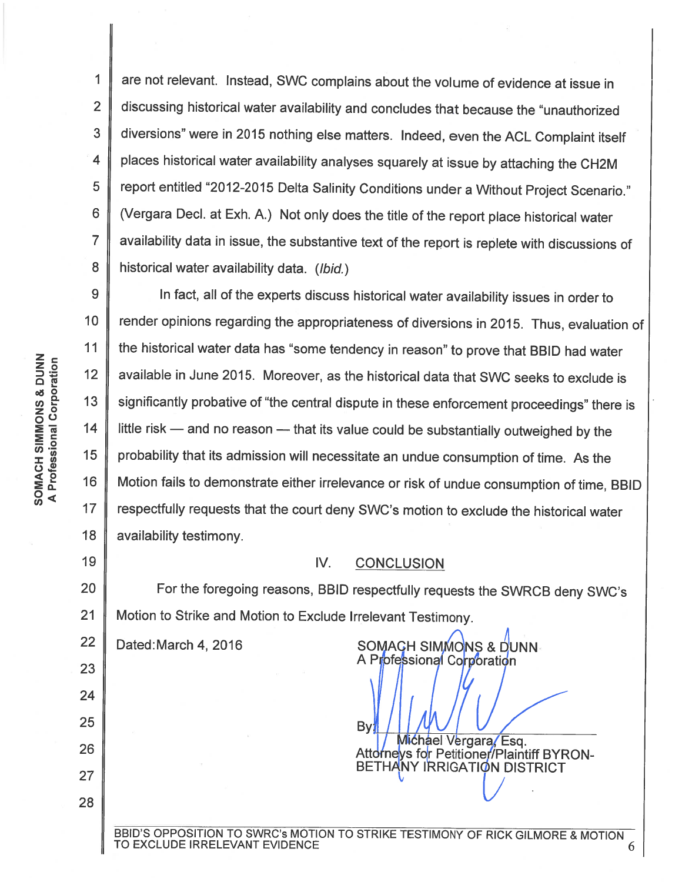1 2 3 4 5 6 7 8 are not relevant. Instead, SWC complains about the volume of evidence at issue in discussing historical water availability and concludes that because the "unauthorized diversions" were in 2015 nothing else matters. Indeed, even the ACL Complaint itself places historical water availability analyses squarely at issue by attaching the CH2M report entitled "2012-2015 Delta Salinity Conditions under a Without Project Scenario." (Vergara Decl. at Exh. A.) Not only does the title of the report place historical water availability data in issue, the substantive text of the report is replete with discussions of historical water availability data. (Ibid.)

9 10 11  $12$ *enE-* 13 14 0<( *en* <sup>17</sup> 18 In fact, all of the experts discuss historical water availability issues in order to render opinions regarding the appropriateness of diversions in 2015. Thus, evaluation of the historical water data has "some tendency in reason" to prove that BBID had water available in June 2015. Moreover, as the historical data that SWC seeks to exclude is significantly probative of "the central dispute in these enforcement proceedings" there is little risk  $-$  and no reason  $-$  that its value could be substantially outweighed by the probability that its admission will necessitate an undue consumption of time. As the Motion fails to demonstrate either irrelevance or risk of undue consumption of time, 8810 respectfully requests that the court deny SWC's motion to exclude the historical water availability testimony.

### IV. CONCLUSION

20 21 For the foregoing reasons, 8810 respectfully requests the SWRC8 deny SWC's Motion to Strike and Motion to Exclude Irrelevant Testimony.

22

#### Dated:March 4, 2016 SOMACH SIMMONS & DUNN A Professional Corporation

By: Michael Vergara, Esq. Attorneys for Petitioner/Plaintiff BYRON-BETHANY IRRIGATION DISTRICT

19

23

24

25

26

27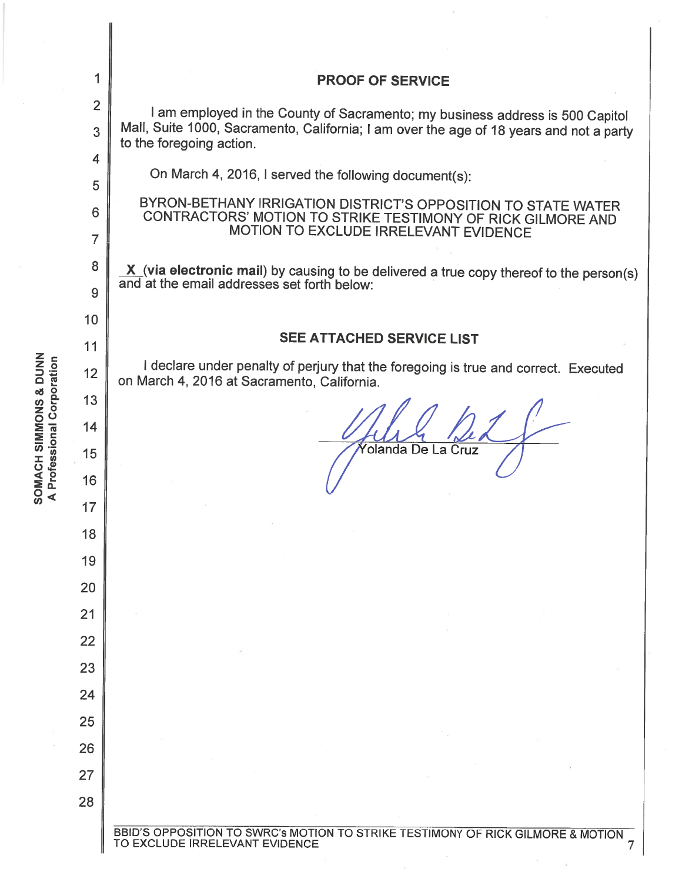|                                                             | 1                   | <b>PROOF OF SERVICE</b>                                                                                                                              |  |  |  |
|-------------------------------------------------------------|---------------------|------------------------------------------------------------------------------------------------------------------------------------------------------|--|--|--|
|                                                             | $\overline{2}$      | I am employed in the County of Sacramento; my business address is 500 Capitol                                                                        |  |  |  |
|                                                             | 3                   | Mall, Suite 1000, Sacramento, California; I am over the age of 18 years and not a party<br>to the foregoing action.                                  |  |  |  |
|                                                             | 4                   | On March 4, 2016, I served the following document(s):                                                                                                |  |  |  |
|                                                             | 5                   | BYRON-BETHANY IRRIGATION DISTRICT'S OPPOSITION TO STATE WATER                                                                                        |  |  |  |
|                                                             | 6<br>$\overline{7}$ | CONTRACTORS' MOTION TO STRIKE TESTIMONY OF RICK GILMORE AND<br>MOTION TO EXCLUDE IRRELEVANT EVIDENCE                                                 |  |  |  |
|                                                             | 8                   | $\underline{X}$ (via electronic mail) by causing to be delivered a true copy thereof to the person(s)<br>and at the email addresses set forth below: |  |  |  |
|                                                             | 9                   |                                                                                                                                                      |  |  |  |
|                                                             | 10                  |                                                                                                                                                      |  |  |  |
|                                                             | 11                  | <b>SEE ATTACHED SERVICE LIST</b>                                                                                                                     |  |  |  |
|                                                             | 12                  | I declare under penalty of perjury that the foregoing is true and correct. Executed<br>on March 4, 2016 at Sacramento, California.                   |  |  |  |
|                                                             | 13                  |                                                                                                                                                      |  |  |  |
|                                                             | 14                  |                                                                                                                                                      |  |  |  |
| <b>SOMACH SIMPORES EUTROS</b><br>A Professional Corporation | 15                  | olanda De La Cruz                                                                                                                                    |  |  |  |
|                                                             | 16                  |                                                                                                                                                      |  |  |  |
|                                                             | 17                  |                                                                                                                                                      |  |  |  |
|                                                             | 18                  |                                                                                                                                                      |  |  |  |
|                                                             | 19                  |                                                                                                                                                      |  |  |  |
|                                                             | 20                  |                                                                                                                                                      |  |  |  |
|                                                             | 21                  |                                                                                                                                                      |  |  |  |
|                                                             | 22                  |                                                                                                                                                      |  |  |  |
|                                                             | 23                  |                                                                                                                                                      |  |  |  |
|                                                             | 24                  |                                                                                                                                                      |  |  |  |
|                                                             | 25                  |                                                                                                                                                      |  |  |  |
|                                                             | 26                  |                                                                                                                                                      |  |  |  |
|                                                             | 27                  |                                                                                                                                                      |  |  |  |
|                                                             | 28                  |                                                                                                                                                      |  |  |  |
|                                                             |                     | BBID'S OPPOSITION TO SWRC's MOTION TO STRIKE TESTIMONY OF RICK GILMORE & MOTION TO EXCLUDE IRRELEVANT EVIDENCE                                       |  |  |  |

 $\frac{1}{2}$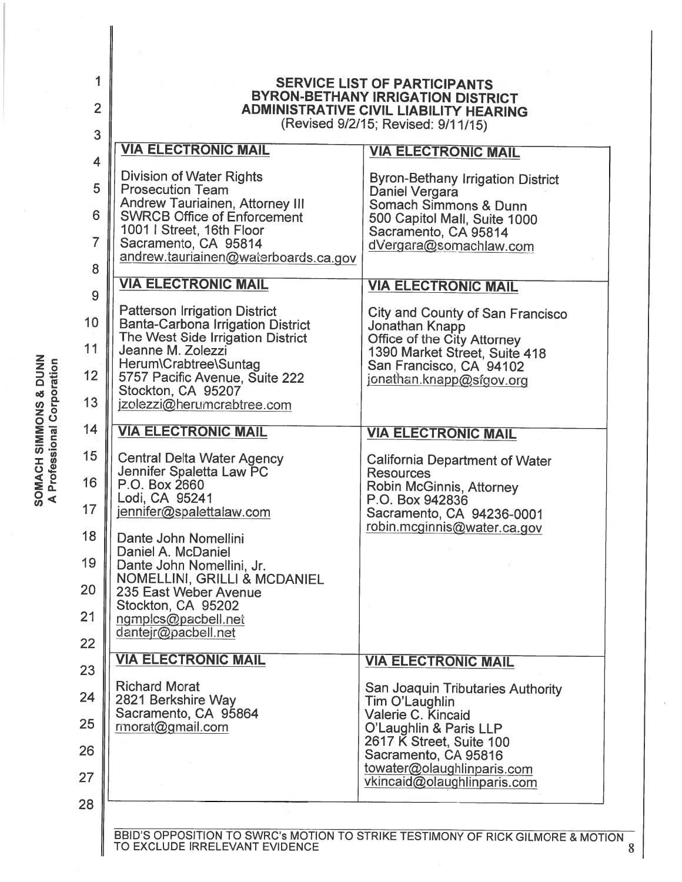| 1<br>$\overline{2}$          | <b>SERVICE LIST OF PARTICIPANTS</b><br><b>BYRON-BETHANY IRRIGATION DISTRICT</b><br><b>ADMINISTRATIVE CIVIL LIABILITY HEARING</b><br>(Revised 9/2/15; Revised: 9/11/15)                                                                                    |                                                                                                                                                                                  |  |  |  |  |
|------------------------------|-----------------------------------------------------------------------------------------------------------------------------------------------------------------------------------------------------------------------------------------------------------|----------------------------------------------------------------------------------------------------------------------------------------------------------------------------------|--|--|--|--|
| 3                            | <b>VIA ELECTRONIC MAIL</b>                                                                                                                                                                                                                                | <b>VIA ELECTRONIC MAIL</b>                                                                                                                                                       |  |  |  |  |
| $\overline{\mathbf{4}}$<br>5 | <b>Division of Water Rights</b><br><b>Prosecution Team</b><br>Andrew Tauriainen, Attorney III                                                                                                                                                             | <b>Byron-Bethany Irrigation District</b><br>Daniel Vergara                                                                                                                       |  |  |  |  |
| 6                            | <b>SWRCB Office of Enforcement</b><br>1001   Street, 16th Floor                                                                                                                                                                                           | Somach Simmons & Dunn<br>500 Capitol Mall, Suite 1000<br>Sacramento, CA 95814                                                                                                    |  |  |  |  |
| $\overline{7}$<br>8          | Sacramento, CA 95814<br>andrew.tauriainen@waterboards.ca.gov                                                                                                                                                                                              | dVergara@somachlaw.com                                                                                                                                                           |  |  |  |  |
| 9                            | <b>VIA ELECTRONIC MAIL</b>                                                                                                                                                                                                                                | <b>VIA ELECTRONIC MAIL</b>                                                                                                                                                       |  |  |  |  |
| 10<br>11<br>12<br>13         | <b>Patterson Irrigation District</b><br><b>Banta-Carbona Irrigation District</b><br>The West Side Irrigation District<br>Jeanne M. Zolezzi<br>Herum\Crabtree\Suntag<br>5757 Pacific Avenue, Suite 222<br>Stockton, CA 95207<br>jzolezzi@herumcrabtree.com | <b>City and County of San Francisco</b><br>Jonathan Knapp<br>Office of the City Attorney<br>1390 Market Street, Suite 418<br>San Francisco, CA 94102<br>jonathan.knapp@sfgov.org |  |  |  |  |
| 14                           | <b>VIA ELECTRONIC MAIL</b>                                                                                                                                                                                                                                | <b>VIA ELECTRONIC MAIL</b>                                                                                                                                                       |  |  |  |  |
| 15<br>16<br>17               | <b>Central Delta Water Agency</b><br>Jennifer Spaletta Law PC<br>P.O. Box 2660<br>Lodi, CA 95241<br>jennifer@spalettalaw.com                                                                                                                              | <b>California Department of Water</b><br><b>Resources</b><br>Robin McGinnis, Attorney<br>P.O. Box 942836<br>Sacramento, CA 94236-0001                                            |  |  |  |  |
| 18<br>19<br>20<br>21<br>22   | Dante John Nomellini<br>Daniel A. McDaniel<br>Dante John Nomellini, Jr.<br>NOMELLINI, GRILLI & MCDANIEL<br>235 East Weber Avenue<br>Stockton, CA 95202<br>ngmplcs@pacbell.net<br>dantejr@pacbell.net                                                      | robin.mcginnis@water.ca.gov                                                                                                                                                      |  |  |  |  |
| 23                           | <b>VIA ELECTRONIC MAIL</b>                                                                                                                                                                                                                                | <b>VIA ELECTRONIC MAIL</b>                                                                                                                                                       |  |  |  |  |
| 24                           | <b>Richard Morat</b><br>2821 Berkshire Way                                                                                                                                                                                                                | San Joaquin Tributaries Authority<br>Tim O'Laughlin                                                                                                                              |  |  |  |  |
| 25                           | Sacramento, CA 95864<br>rmorat@gmail.com                                                                                                                                                                                                                  | Valerie C. Kincaid<br>O'Laughlin & Paris LLP                                                                                                                                     |  |  |  |  |
| 26<br>27                     |                                                                                                                                                                                                                                                           | 2617 K Street, Suite 100<br>Sacramento, CA 95816<br>towater@olaughlinparis.com                                                                                                   |  |  |  |  |
| 28                           |                                                                                                                                                                                                                                                           | vkincaid@olaughlinparis.com                                                                                                                                                      |  |  |  |  |
|                              | TO EXCLUDE IRRELEVANT EVIDENCE                                                                                                                                                                                                                            | BBID'S OPPOSITION TO SWRC's MOTION TO STRIKE TESTIMONY OF RICK GILMORE & MOTION                                                                                                  |  |  |  |  |

 $\overline{ON}$  8